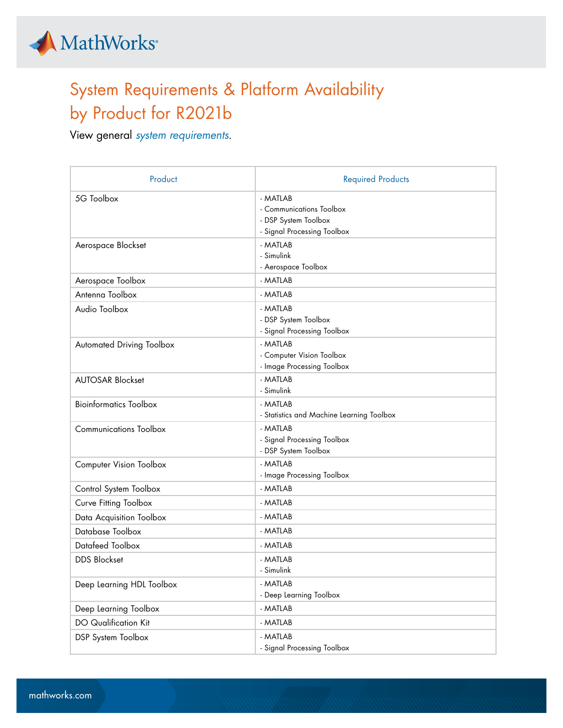

## System Requirements & Platform Availability by Product for R2021b

View general *[system requirements](https://www.mathworks.com/support/sysreq/previous_releases.html)*.

| Product                        | <b>Required Products</b>                                                                    |
|--------------------------------|---------------------------------------------------------------------------------------------|
| 5G Toolbox                     | - MATLAB<br>- Communications Toolbox<br>- DSP System Toolbox<br>- Signal Processing Toolbox |
| Aerospace Blockset             | - MATLAB<br>- Simulink<br>- Aerospace Toolbox                                               |
| Aerospace Toolbox              | - MATLAB                                                                                    |
| Antenna Toolbox                | - MATLAB                                                                                    |
| Audio Toolbox                  | - MATLAB<br>- DSP System Toolbox<br>- Signal Processing Toolbox                             |
| Automated Driving Toolbox      | - MATLAB<br>- Computer Vision Toolbox<br>- Image Processing Toolbox                         |
| <b>AUTOSAR Blockset</b>        | - MATLAB<br>- Simulink                                                                      |
| <b>Bioinformatics Toolbox</b>  | - MATLAB<br>- Statistics and Machine Learning Toolbox                                       |
| <b>Communications Toolbox</b>  | - MATLAB<br>- Signal Processing Toolbox<br>- DSP System Toolbox                             |
| <b>Computer Vision Toolbox</b> | - MATLAB<br>- Image Processing Toolbox                                                      |
| Control System Toolbox         | - MATLAB                                                                                    |
| Curve Fitting Toolbox          | - MATLAB                                                                                    |
| Data Acquisition Toolbox       | - MATLAB                                                                                    |
| Database Toolbox               | - MATLAB                                                                                    |
| Datafeed Toolbox               | - MATLAB                                                                                    |
| <b>DDS Blockset</b>            | - MATLAB<br>- Simulink                                                                      |
| Deep Learning HDL Toolbox      | - MATLAB<br>- Deep Learning Toolbox                                                         |
| Deep Learning Toolbox          | - MATLAB                                                                                    |
| <b>DO</b> Qualification Kit    | - MATLAB                                                                                    |
| DSP System Toolbox             | - MATLAB<br>- Signal Processing Toolbox                                                     |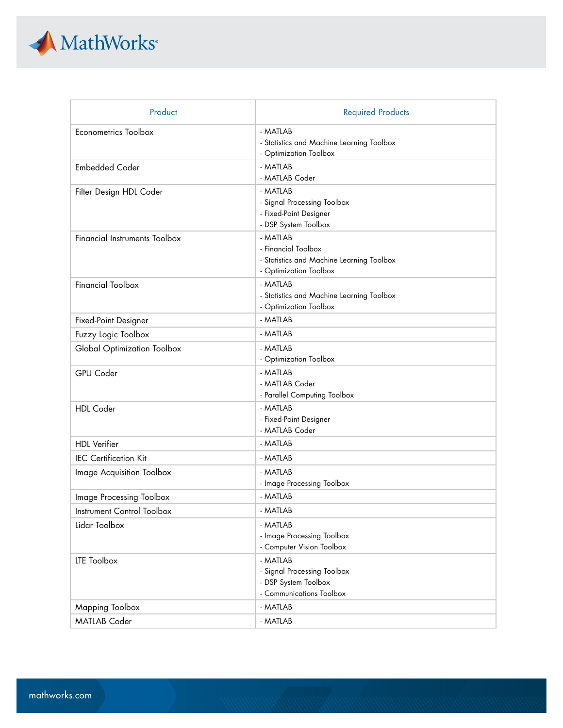

| Product                              | <b>Required Products</b>                                                                               |
|--------------------------------------|--------------------------------------------------------------------------------------------------------|
| Econometrics Toolbox                 | - MATLAB<br>- Statistics and Machine Learning Toolbox<br>- Optimization Toolbox                        |
| <b>Embedded Coder</b>                | - MATLAB<br>- MATLAB Coder                                                                             |
| Filter Design HDL Coder              | - MATLAB<br>- Signal Processing Toolbox<br>- Fixed-Point Designer<br>- DSP System Toolbox              |
| <b>Financial Instruments Toolbox</b> | - MATLAB<br>- Financial Toolbox<br>- Statistics and Machine Learning Toolbox<br>- Optimization Toolbox |
| <b>Financial Toolbox</b>             | - MATLAB<br>- Statistics and Machine Learning Toolbox<br>- Optimization Toolbox                        |
| Fixed-Point Designer                 | - MATLAB                                                                                               |
| Fuzzy Logic Toolbox                  | - MATLAB                                                                                               |
| Global Optimization Toolbox          | - MATLAB<br>- Optimization Toolbox                                                                     |
| GPU Coder                            | - MATLAB<br>- MATLAB Coder<br>- Parallel Computing Toolbox                                             |
| <b>HDL</b> Coder                     | - MATLAB<br>- Fixed-Point Designer<br>- MATLAB Coder                                                   |
| <b>HDL</b> Verifier                  | - MATLAB                                                                                               |
| <b>IEC Certification Kit</b>         | - MATLAB                                                                                               |
| <b>Image Acquisition Toolbox</b>     | - MATLAB<br>- Image Processing Toolbox                                                                 |
| Image Processing Toolbox             | - MATLAB                                                                                               |
| Instrument Control Toolbox           | - MATLAB                                                                                               |
| Lidar Toolbox                        | - MATLAB<br>- Image Processing Toolbox<br>- Computer Vision Toolbox                                    |
| LTE Toolbox                          | - MATLAB<br>- Signal Processing Toolbox<br>- DSP System Toolbox<br>- Communications Toolbox            |
| Mapping Toolbox                      | - MATLAB                                                                                               |
| <b>MATLAB Coder</b>                  | - MATLAB                                                                                               |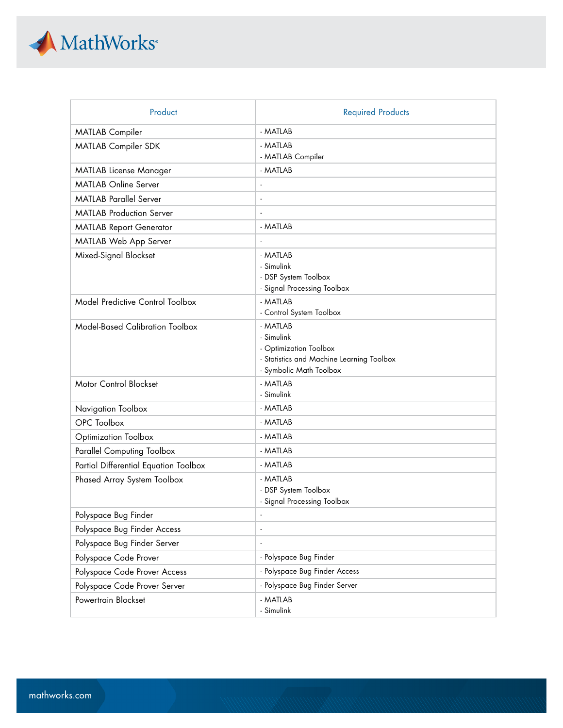

| Product                                | <b>Required Products</b>                                                                                                 |
|----------------------------------------|--------------------------------------------------------------------------------------------------------------------------|
| <b>MATLAB</b> Compiler                 | - MATLAB                                                                                                                 |
| <b>MATLAB Compiler SDK</b>             | - MATLAB<br>- MATLAB Compiler                                                                                            |
| <b>MATLAB License Manager</b>          | - MATLAB                                                                                                                 |
| <b>MATLAB Online Server</b>            |                                                                                                                          |
| <b>MATLAB Parallel Server</b>          |                                                                                                                          |
| <b>MATLAB Production Server</b>        |                                                                                                                          |
| <b>MATLAB Report Generator</b>         | - MATLAB                                                                                                                 |
| MATLAB Web App Server                  |                                                                                                                          |
| Mixed-Signal Blockset                  | - MATLAB<br>- Simulink<br>- DSP System Toolbox<br>- Signal Processing Toolbox                                            |
| Model Predictive Control Toolbox       | - MATLAB<br>- Control System Toolbox                                                                                     |
| <b>Model-Based Calibration Toolbox</b> | - MATLAB<br>- Simulink<br>- Optimization Toolbox<br>- Statistics and Machine Learning Toolbox<br>- Symbolic Math Toolbox |
| Motor Control Blockset                 | - MATLAB<br>- Simulink                                                                                                   |
| Navigation Toolbox                     | - MATLAB                                                                                                                 |
| OPC Toolbox                            | - MATLAB                                                                                                                 |
| Optimization Toolbox                   | - MATLAB                                                                                                                 |
| <b>Parallel Computing Toolbox</b>      | - MATLAB                                                                                                                 |
| Partial Differential Equation Toolbox  | - MATLAB                                                                                                                 |
| Phased Array System Toolbox            | - MATLAB<br>- DSP System Toolbox<br>- Signal Processing Toolbox                                                          |
| Polyspace Bug Finder                   |                                                                                                                          |
| Polyspace Bug Finder Access            | $\overline{\phantom{a}}$                                                                                                 |
| Polyspace Bug Finder Server            | $\sim$                                                                                                                   |
| Polyspace Code Prover                  | - Polyspace Bug Finder                                                                                                   |
| Polyspace Code Prover Access           | - Polyspace Bug Finder Access                                                                                            |
| Polyspace Code Prover Server           | - Polyspace Bug Finder Server                                                                                            |
| Powertrain Blockset                    | - MATLAB<br>- Simulink                                                                                                   |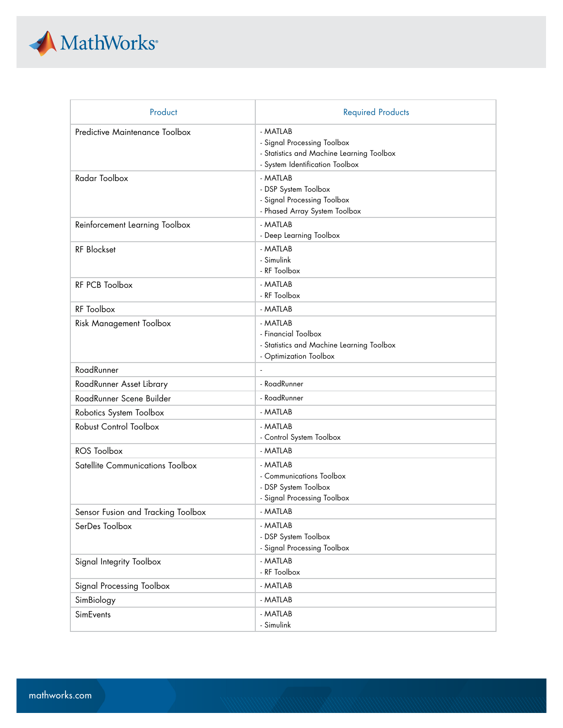

| Product                            | <b>Required Products</b>                                                                                                |
|------------------------------------|-------------------------------------------------------------------------------------------------------------------------|
| Predictive Maintenance Toolbox     | - MATLAB<br>- Signal Processing Toolbox<br>- Statistics and Machine Learning Toolbox<br>- System Identification Toolbox |
| Radar Toolbox                      | - MATLAB<br>- DSP System Toolbox<br>- Signal Processing Toolbox<br>- Phased Array System Toolbox                        |
| Reinforcement Learning Toolbox     | - MATLAB<br>- Deep Learning Toolbox                                                                                     |
| RF Blockset                        | - MATLAB<br>- Simulink<br>- RF Toolbox                                                                                  |
| RF PCB Toolbox                     | - MATLAB<br>- RF Toolbox                                                                                                |
| RF Toolbox                         | - MATLAB                                                                                                                |
| <b>Risk Management Toolbox</b>     | - MATLAB<br>- Financial Toolbox<br>- Statistics and Machine Learning Toolbox<br>- Optimization Toolbox                  |
| RoadRunner                         |                                                                                                                         |
| RoadRunner Asset Library           | - RoadRunner                                                                                                            |
| RoadRunner Scene Builder           | - RoadRunner                                                                                                            |
| Robotics System Toolbox            | - MATLAB                                                                                                                |
| Robust Control Toolbox             | - MATLAB<br>- Control System Toolbox                                                                                    |
| <b>ROS Toolbox</b>                 | - MATLAB                                                                                                                |
| Satellite Communications Toolbox   | - MATLAB<br>- Communications Toolbox<br>- DSP System Toolbox<br>- Signal Processing Toolbox                             |
| Sensor Fusion and Tracking Toolbox | MATLAB                                                                                                                  |
| SerDes Toolbox                     | - MATLAB<br>- DSP System Toolbox<br>- Signal Processing Toolbox                                                         |
| Signal Integrity Toolbox           | - MATLAB<br>- RF Toolbox                                                                                                |
| Signal Processing Toolbox          | - MATLAB                                                                                                                |
| SimBiology                         | - MATLAB                                                                                                                |
| SimEvents                          | - MATLAB<br>- Simulink                                                                                                  |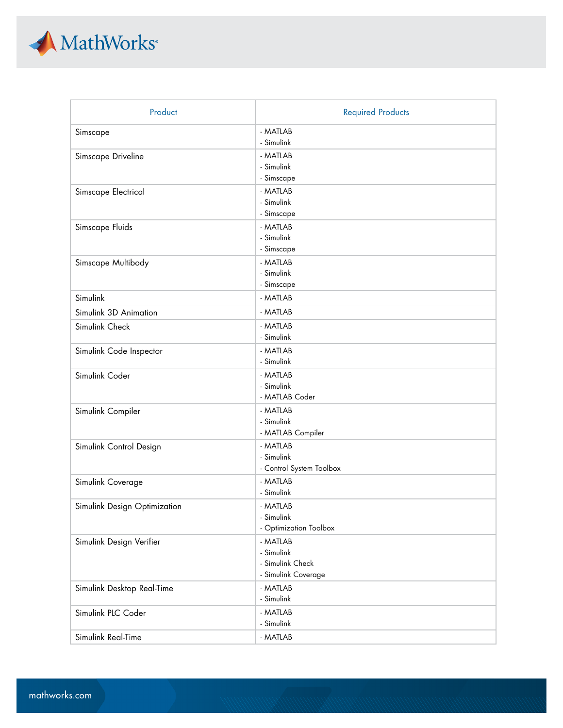

| Product                      | <b>Required Products</b> |
|------------------------------|--------------------------|
| Simscape                     | - MATLAB                 |
|                              | - Simulink               |
| Simscape Driveline           | - MATLAB                 |
|                              | - Simulink               |
|                              | - Simscape               |
| Simscape Electrical          | - MATLAB                 |
|                              | - Simulink               |
|                              | - Simscape               |
| Simscape Fluids              | - MATLAB                 |
|                              | - Simulink<br>- Simscape |
|                              |                          |
| Simscape Multibody           | - MATLAB<br>- Simulink   |
|                              | - Simscape               |
| Simulink                     | - MATLAB                 |
|                              |                          |
| Simulink 3D Animation        | - MATLAB                 |
| Simulink Check               | - MATLAB                 |
|                              | - Simulink               |
| Simulink Code Inspector      | - MATLAB                 |
|                              | - Simulink               |
| Simulink Coder               | - MATLAB<br>- Simulink   |
|                              | - MATLAB Coder           |
|                              | - MATLAB                 |
| Simulink Compiler            | - Simulink               |
|                              | - MATLAB Compiler        |
| Simulink Control Design      | - MATLAB                 |
|                              | - Simulink               |
|                              | - Control System Toolbox |
| Simulink Coverage            | - MATLAB                 |
|                              | - Simulink               |
| Simulink Design Optimization | - MATLAB                 |
|                              | - Simulink               |
|                              | - Optimization Toolbox   |
| Simulink Design Verifier     | - MATLAB                 |
|                              | - Simulink               |
|                              | - Simulink Check         |
|                              | - Simulink Coverage      |
| Simulink Desktop Real-Time   | - MATLAB                 |
|                              | - Simulink               |
| Simulink PLC Coder           | - MATLAB                 |
|                              | - Simulink               |
| Simulink Real-Time           | - MATLAB                 |